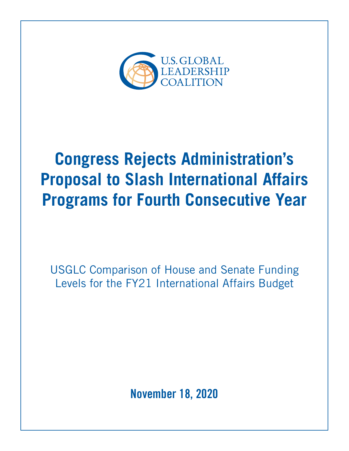

# **Congress Rejects Administration's Proposal to Slash International Affairs Programs for Fourth Consecutive Year**

USGLC Comparison of House and Senate Funding Levels for the FY21 International Affairs Budget

**November 18, 2020**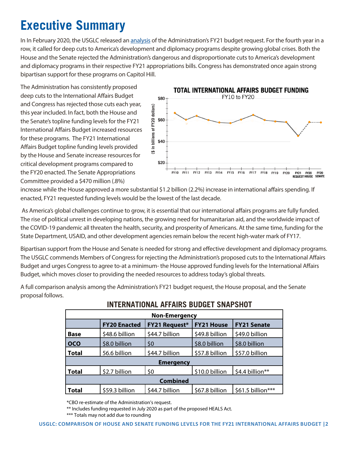## **Executive Summary**

In In February 2020, the USGLC released an [analysis](https://www.usglc.org/the-budget/analysis-of-the-administrations-fy21-international-affairs-budget-request/) of the Administration's FY21 budget request. For the fourth year in a row, it called for deep cuts to America's development and diplomacy programs despite growing global crises. Both the House and the Senate rejected the Administration's dangerous and disproportionate cuts to America's development and diplomacy programs in their respective FY21 appropriations bills. Congress has demonstrated once again strong bipartisan support for these programs on Capitol Hill.

The Administration has consistently proposed deep cuts to the International Affairs Budget and Congress has rejected those cuts each year, this year included. In fact, both the House and the Senate's topline funding levels for the FY21 International Affairs Budget increased resources for these programs. The FY21 International Affairs Budget topline funding levels provided by the House and Senate increase resources for critical development programs compared to the FY20 enacted. The Senate Appropriations Committee provided a \$470 million (.8%)



increase while the House approved a more substantial \$1.2 billion (2.2%) increase in international affairs spending. If enacted, FY21 requested funding levels would be the lowest of the last decade.

 As America's global challenges continue to grow, it is essential that our international affairs programs are fully funded. The rise of political unrest in developing nations, the growing need for humanitarian aid, and the worldwide impact of the COVID-19 pandemic all threaten the health, security, and prosperity of Americans. At the same time, funding for the State Department, USAID, and other development agencies remain below the recent high-water mark of FY17.

Bipartisan support from the House and Senate is needed for strong and effective development and diplomacy programs. The USGLC commends Members of Congress for rejecting the Administration's proposed cuts to the International Affairs Budget and urges Congress to agree to-at a minimum- the House approved funding levels for the International Affairs Budget, which moves closer to providing the needed resources to address today's global threats.

A full comparison analysis among the Administration's FY21 budget request, the House proposal, and the Senate proposal follows.

| <b>Non-Emergency</b>                                                      |                     |                    |                |                   |  |  |  |
|---------------------------------------------------------------------------|---------------------|--------------------|----------------|-------------------|--|--|--|
|                                                                           | <b>FY20 Enacted</b> | <b>FY21 Senate</b> |                |                   |  |  |  |
| <b>Base</b>                                                               | \$48.6 billion      | \$44.7 billion     | \$49.8 billion | \$49.0 billion    |  |  |  |
| <b>OCO</b>                                                                | \$8.0 billion       | \$0                | \$8.0 billion  | \$8.0 billion     |  |  |  |
| <b>Total</b>                                                              | 56.6 billion        | \$44.7 billion     | \$57.8 billion | \$57.0 billion    |  |  |  |
| <b>Emergency</b>                                                          |                     |                    |                |                   |  |  |  |
| \$0<br>\$10.0 billion<br>\$2.7 billion<br>\$4.4 billion**<br><b>Total</b> |                     |                    |                |                   |  |  |  |
| <b>Combined</b>                                                           |                     |                    |                |                   |  |  |  |
| <b>Total</b>                                                              | \$59.3 billion      | \$44.7 billion     | \$67.8 billion | \$61.5 billion*** |  |  |  |

#### **INTERNATIONAL AFFAIRS BUDGET SNAPSHOT**

\*CBO re-estimate of the Administration's request.

\*\* Includes funding requested in July 2020 as part of the proposed HEALS Act.

\*\*\* Totals may not add due to rounding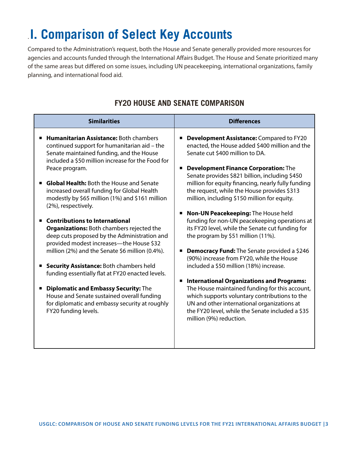## . **I. Comparison of Select Key Accounts**

Compared to the Administration's request, both the House and Senate generally provided more resources for agencies and accounts funded through the International Affairs Budget. The House and Senate prioritized many of the same areas but differed on some issues, including UN peacekeeping, international organizations, family planning, and international food aid.

| <b>Similarities</b>                                                                                                                                                                                                                                                                                                                                                                                                                                                                                                                                                                                                                                                                                                                                                                                                                                                                                                   | <b>Differences</b>                                                                                                                                                                                                                                                                                                                                                                                                                                                                                                                                                                                                                                                                                                                                                                                                                                                                                                                                                                                              |  |  |  |
|-----------------------------------------------------------------------------------------------------------------------------------------------------------------------------------------------------------------------------------------------------------------------------------------------------------------------------------------------------------------------------------------------------------------------------------------------------------------------------------------------------------------------------------------------------------------------------------------------------------------------------------------------------------------------------------------------------------------------------------------------------------------------------------------------------------------------------------------------------------------------------------------------------------------------|-----------------------------------------------------------------------------------------------------------------------------------------------------------------------------------------------------------------------------------------------------------------------------------------------------------------------------------------------------------------------------------------------------------------------------------------------------------------------------------------------------------------------------------------------------------------------------------------------------------------------------------------------------------------------------------------------------------------------------------------------------------------------------------------------------------------------------------------------------------------------------------------------------------------------------------------------------------------------------------------------------------------|--|--|--|
| <b>Humanitarian Assistance: Both chambers</b><br>continued support for humanitarian aid - the<br>Senate maintained funding, and the House<br>included a \$50 million increase for the Food for<br>Peace program.<br><b>Global Health: Both the House and Senate</b><br>increased overall funding for Global Health<br>modestly by \$65 million (1%) and \$161 million<br>(2%), respectively.<br><b>Contributions to International</b><br><b>Organizations:</b> Both chambers rejected the<br>deep cuts proposed by the Administration and<br>provided modest increases-the House \$32<br>million (2%) and the Senate \$6 million (0.4%).<br><b>Security Assistance: Both chambers held</b><br>funding essentially flat at FY20 enacted levels.<br><b>Diplomatic and Embassy Security: The</b><br>House and Senate sustained overall funding<br>for diplomatic and embassy security at roughly<br>FY20 funding levels. | <b>Development Assistance:</b> Compared to FY20<br>enacted, the House added \$400 million and the<br>Senate cut \$400 million to DA.<br><b>Development Finance Corporation: The</b><br>Senate provides \$821 billion, including \$450<br>million for equity financing, nearly fully funding<br>the request, while the House provides \$313<br>million, including \$150 million for equity.<br>Non-UN Peacekeeping: The House held<br>funding for non-UN peacekeeping operations at<br>its FY20 level, while the Senate cut funding for<br>the program by \$51 million (11%).<br><b>Democracy Fund:</b> The Senate provided a \$246<br>(90%) increase from FY20, while the House<br>included a \$50 million (18%) increase.<br><b>International Organizations and Programs:</b><br>The House maintained funding for this account,<br>which supports voluntary contributions to the<br>UN and other international organizations at<br>the FY20 level, while the Senate included a \$35<br>million (9%) reduction. |  |  |  |

#### **FY20 HOUSE AND SENATE COMPARISON**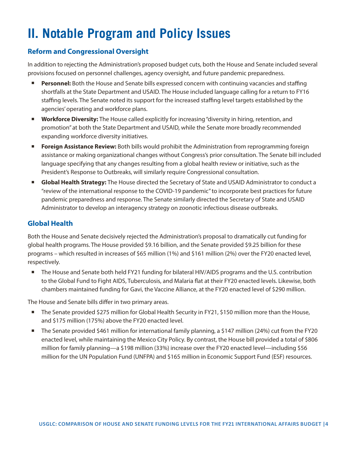## **II. Notable Program and Policy Issues**

#### **Reform and Congressional Oversight**

In addition to rejecting the Administration's proposed budget cuts, both the House and Senate included several provisions focused on personnel challenges, agency oversight, and future pandemic preparedness.

- Personnel: Both the House and Senate bills expressed concern with continuing vacancies and staffing shortfalls at the State Department and USAID. The House included language calling for a return to FY16 staffing levels. The Senate noted its support for the increased staffing level targets established by the agencies' operating and workforce plans.
- **Workforce Diversity:** The House called explicitly for increasing "diversity in hiring, retention, and promotion" at both the State Department and USAID, while the Senate more broadly recommended expanding workforce diversity initiatives.
- **Example 3 Foreign Assistance Review:** Both bills would prohibit the Administration from reprogramming foreign assistance or making organizational changes without Congress's prior consultation. The Senate bill included language specifying that any changes resulting from a global health review or initiative, such as the President's Response to Outbreaks, will similarly require Congressional consultation.
- **E** Global Health Strategy: The House directed the Secretary of State and USAID Administrator to conduct a "review of the international response to the COVID-19 pandemic" to incorporate best practices for future pandemic preparedness and response. The Senate similarly directed the Secretary of State and USAID Administrator to develop an interagency strategy on zoonotic infectious disease outbreaks.

#### **Global Health**

Both the House and Senate decisively rejected the Administration's proposal to dramatically cut funding for global health programs. The House provided \$9.16 billion, and the Senate provided \$9.25 billion for these programs – which resulted in increases of \$65 million (1%) and \$161 million (2%) over the FY20 enacted level, respectively.

The House and Senate both held FY21 funding for bilateral HIV/AIDS programs and the U.S. contribution to the Global Fund to Fight AIDS, Tuberculosis, and Malaria flat at their FY20 enacted levels. Likewise, both chambers maintained funding for Gavi, the Vaccine Alliance, at the FY20 enacted level of \$290 million.

The House and Senate bills differ in two primary areas.

- The Senate provided \$275 million for Global Health Security in FY21, \$150 million more than the House, and \$175 million (175%) above the FY20 enacted level.
- The Senate provided \$461 million for international family planning, a \$147 million (24%) cut from the FY20 enacted level, while maintaining the Mexico City Policy. By contrast, the House bill provided a total of \$806 million for family planning—a \$198 million (33%) increase over the FY20 enacted level—including \$56 million for the UN Population Fund (UNFPA) and \$165 million in Economic Support Fund (ESF) resources.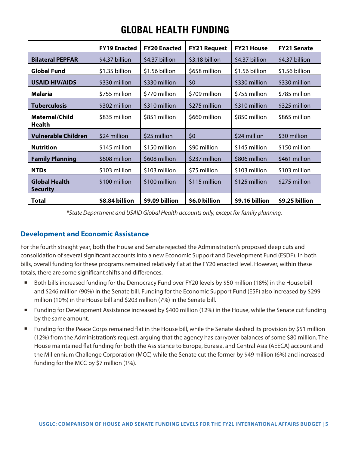|                                         | <b>FY19 Enacted</b> | <b>FY20 Enacted</b> | <b>FY21 Request</b> | <b>FY21 House</b> | <b>FY21 Senate</b> |
|-----------------------------------------|---------------------|---------------------|---------------------|-------------------|--------------------|
| <b>Bilateral PEPFAR</b>                 | \$4.37 billion      | \$4.37 billion      | \$3.18 billion      | \$4.37 billion    | \$4.37 billion     |
| <b>Global Fund</b>                      | \$1.35 billion      | \$1.56 billion      | \$658 million       | \$1.56 billion    | \$1.56 billion     |
| <b>USAID HIV/AIDS</b>                   | \$330 million       | \$330 million       | \$0                 | \$330 million     | \$330 million      |
| Malaria                                 | \$755 million       | \$770 million       | \$709 million       | \$755 million     | \$785 million      |
| <b>Tuberculosis</b>                     | \$302 million       | \$310 million       | \$275 million       | \$310 million     | \$325 million      |
| <b>Maternal/Child</b><br>Health         | \$835 million       | \$851 million       | \$660 million       | \$850 million     | \$865 million      |
| <b>Vulnerable Children</b>              | \$24 million        | \$25 million        | \$0                 | \$24 million      | \$30 million       |
| <b>Nutrition</b>                        | \$145 million       | \$150 million       | \$90 million        | \$145 million     | \$150 million      |
| <b>Family Planning</b>                  | \$608 million       | \$608 million       | \$237 million       | \$806 million     | \$461 million      |
| <b>NTDs</b>                             | \$103 million       | \$103 million       | \$75 million        | \$103 million     | \$103 million      |
| <b>Global Health</b><br><b>Security</b> | \$100 million       | \$100 million       | \$115 million       | \$125 million     | \$275 million      |
| Total                                   | \$8.84 billion      | \$9.09 billion      | \$6.0 billion       | \$9.16 billion    | \$9.25 billion     |

### **GLOBAL HEALTH FUNDING**

*\*State Department and USAID Global Health accounts only, except for family planning.*

#### **Development and Economic Assistance**

For the fourth straight year, both the House and Senate rejected the Administration's proposed deep cuts and consolidation of several significant accounts into a new Economic Support and Development Fund (ESDF). In both bills, overall funding for these programs remained relatively flat at the FY20 enacted level. However, within these totals, there are some significant shifts and differences.

- Both bills increased funding for the Democracy Fund over FY20 levels by \$50 million (18%) in the House bill and \$246 million (90%) in the Senate bill. Funding for the Economic Support Fund (ESF) also increased by \$299 million (10%) in the House bill and \$203 million (7%) in the Senate bill.
- Funding for Development Assistance increased by \$400 million (12%) in the House, while the Senate cut funding by the same amount.
- Funding for the Peace Corps remained flat in the House bill, while the Senate slashed its provision by \$51 million (12%) from the Administration's request, arguing that the agency has carryover balances of some \$80 million. The House maintained flat funding for both the Assistance to Europe, Eurasia, and Central Asia (AEECA) account and the Millennium Challenge Corporation (MCC) while the Senate cut the former by \$49 million (6%) and increased funding for the MCC by \$7 million (1%).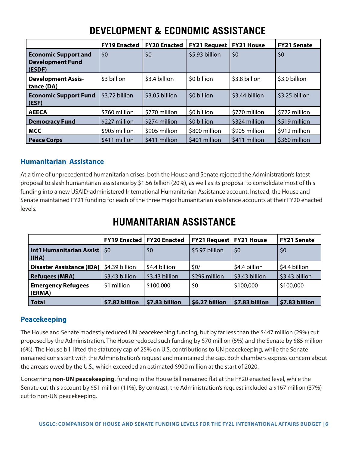|                                                                  | <b>FY19 Enacted</b> | <b>FY20 Enacted</b> | <b>FY21 Request</b> | <b>FY21 House</b> | <b>FY21 Senate</b> |
|------------------------------------------------------------------|---------------------|---------------------|---------------------|-------------------|--------------------|
| <b>Economic Support and</b><br><b>Development Fund</b><br>(ESDF) | \$0                 | \$0                 | \$5.93 billion      | \$0               | \$0                |
| <b>Development Assis-</b><br>tance (DA)                          | \$3 billion         | \$3.4 billion       | \$0 billion         | \$3.8 billion     | \$3.0 billion      |
| <b>Economic Support Fund</b><br>(ESF)                            | \$3.72 billion      | \$3.05 billion      | \$0 billion         | \$3.44 billion    | \$3.25 billion     |
| <b>AEECA</b>                                                     | \$760 million       | \$770 million       | \$0 billion         | \$770 million     | \$722 million      |
| <b>Democracy Fund</b>                                            | \$227 million       | \$274 million       | \$0 billion         | \$324 million     | \$519 million      |
| MCC                                                              | \$905 million       | \$905 million       | \$800 million       | \$905 million     | \$912 million      |
| <b>Peace Corps</b>                                               | \$411 million       | \$411 million       | \$401 million       | \$411 million     | \$360 million      |

### **DEVELOPMENT & ECONOMIC ASSISTANCE**

#### **Humanitarian Assistance**

At a time of unprecedented humanitarian crises, both the House and Senate rejected the Administration's latest proposal to slash humanitarian assistance by \$1.56 billion (20%), as well as its proposal to consolidate most of this funding into a new USAID-administered International Humanitarian Assistance account. Instead, the House and Senate maintained FY21 funding for each of the three major humanitarian assistance accounts at their FY20 enacted levels.

|                                                  | FY19 Enacted   FY20 Enacted |                | <b>FY21 Request   FY21 House</b> |                | <b>FY21 Senate</b> |
|--------------------------------------------------|-----------------------------|----------------|----------------------------------|----------------|--------------------|
| <b>Int'l Humanitarian Assist   \$0</b><br>(IIHA) |                             | \$0            | \$5.97 billion                   | \$0            | \$0                |
| Disaster Assistance (IDA)   \$4.39 billion       |                             | \$4.4 billion  | \$0/                             | \$4.4 billion  | \$4.4 billion      |
| <b>Refugees (MRA)</b>                            | \$3.43 billion              | \$3.43 billion | \$299 million                    | \$3.43 billion | \$3.43 billion     |
| <b>Emergency Refugees</b><br>(ERMA)              | \$1 million                 | \$100,000      | \$0                              | \$100,000      | \$100,000          |
| Total                                            | \$7.82 billion              | \$7.83 billion | \$6.27 billion                   | \$7.83 billion | \$7.83 billion     |

### **HUMANITARIAN ASSISTANCE**

#### **Peacekeeping**

The House and Senate modestly reduced UN peacekeeping funding, but by far less than the \$447 million (29%) cut proposed by the Administration. The House reduced such funding by \$70 million (5%) and the Senate by \$85 million (6%). The House bill lifted the statutory cap of 25% on U.S. contributions to UN peacekeeping, while the Senate remained consistent with the Administration's request and maintained the cap. Both chambers express concern about the arrears owed by the U.S., which exceeded an estimated \$900 million at the start of 2020.

Concerning **non-UN peacekeeping**, funding in the House bill remained flat at the FY20 enacted level, while the Senate cut this account by \$51 million (11%). By contrast, the Administration's request included a \$167 million (37%) cut to non-UN peacekeeping.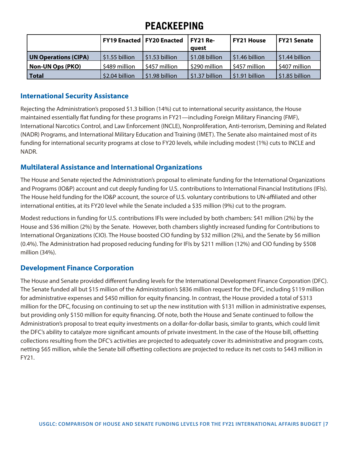### **PEACKEEPING**

|                             | FY19 Enacted   FY20 Enacted |                | FY21 Re-<br>auest | l FY21 House   | <b>FY21 Senate</b>           |
|-----------------------------|-----------------------------|----------------|-------------------|----------------|------------------------------|
| <b>UN Operations (CIPA)</b> | \$1.55 billion              | \$1.53 billion | \$1.08 billion    | \$1.46 billion | $\frac{1}{2}$ \$1.44 billion |
| <b>Non-UN Ops (PKO)</b>     | \$489 million               | \$457 million  | \$290 million     | \$457 million  | \$407 million                |
| <b>Total</b>                | \$2.04 billion              | \$1.98 billion | \$1.37 billion    | \$1.91 billion | $\frac{1}{2}$ \$1.85 billion |

#### **International Security Assistance**

Rejecting the Administration's proposed \$1.3 billion (14%) cut to international security assistance, the House maintained essentially flat funding for these programs in FY21—including Foreign Military Financing (FMF), International Narcotics Control, and Law Enforcement (INCLE), Nonproliferation, Anti-terrorism, Demining and Related (NADR) Programs, and International Military Education and Training (IMET). The Senate also maintained most of its funding for international security programs at close to FY20 levels, while including modest (1%) cuts to INCLE and NADR.

#### **Multilateral Assistance and International Organizations**

The House and Senate rejected the Administration's proposal to eliminate funding for the International Organizations and Programs (IO&P) account and cut deeply funding for U.S. contributions to International Financial Institutions (IFIs). The House held funding for the IO&P account, the source of U.S. voluntary contributions to UN-affiliated and other international entities, at its FY20 level while the Senate included a \$35 million (9%) cut to the program.

Modest reductions in funding for U.S. contributions IFIs were included by both chambers: \$41 million (2%) by the House and \$36 million (2%) by the Senate. However, both chambers slightly increased funding for Contributions to International Organizations (CIO). The House boosted CIO funding by \$32 million (2%), and the Senate by \$6 million (0.4%). The Administration had proposed reducing funding for IFIs by \$211 million (12%) and CIO funding by \$508 million (34%).

#### **Development Finance Corporation**

The House and Senate provided different funding levels for the International Development Finance Corporation (DFC). The Senate funded all but \$15 million of the Administration's \$836 million request for the DFC, including \$119 million for administrative expenses and \$450 million for equity financing. In contrast, the House provided a total of \$313 million for the DFC, focusing on continuing to set up the new institution with \$131 million in administrative expenses, but providing only \$150 million for equity financing. Of note, both the House and Senate continued to follow the Administration's proposal to treat equity investments on a dollar-for-dollar basis, similar to grants, which could limit the DFC's ability to catalyze more significant amounts of private investment. In the case of the House bill, offsetting collections resulting from the DFC's activities are projected to adequately cover its administrative and program costs, netting \$65 million, while the Senate bill offsetting collections are projected to reduce its net costs to \$443 million in FY21.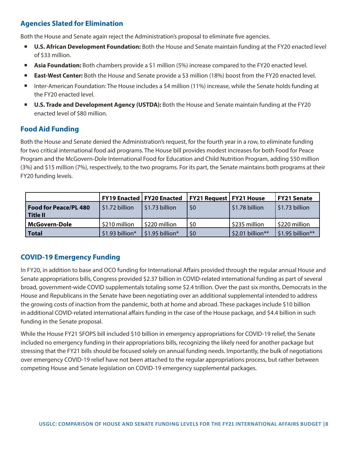#### **Agencies Slated for Elimination**

Both the House and Senate again reject the Administration's proposal to eliminate five agencies.

- **U.S. African Development Foundation:** Both the House and Senate maintain funding at the FY20 enacted level of \$33 million.
- Asia Foundation: Both chambers provide a \$1 million (5%) increase compared to the FY20 enacted level.
- **East-West Center:** Both the House and Senate provide a \$3 million (18%) boost from the FY20 enacted level.
- Inter-American Foundation: The House includes a \$4 million (11%) increase, while the Senate holds funding at the FY20 enacted level.
- **U.S. Trade and Development Agency (USTDA):** Both the House and Senate maintain funding at the FY20 enacted level of \$80 million.

#### **Food Aid Funding**

Both the House and Senate denied the Administration's request, for the fourth year in a row, to eliminate funding for two critical international food aid programs. The House bill provides modest increases for both Food for Peace Program and the McGovern-Dole International Food for Education and Child Nutrition Program, adding \$50 million (3%) and \$15 million (7%), respectively, to the two programs. For its part, the Senate maintains both programs at their FY20 funding levels.

|                                            |                 | <b>FY19 Enacted   FY20 Enacted</b> | <b>FY21 Request   FY21 House</b> |                  | FY21 Senate                    |
|--------------------------------------------|-----------------|------------------------------------|----------------------------------|------------------|--------------------------------|
| <b>Food for Peace/PL 480</b><br>  Title II | \$1.72 billion  | S1.73 billion                      | \$0                              | \$1.78 billion   | $\frac{1}{2}$ \$1.73 billion   |
| McGovern-Dole                              | \$210 million   | \$220 million                      | \$0                              | \$235 million    | ∣ \$220 million                |
| Total                                      | \$1.93 billion* | $\frac{1}{2}$ \$1.95 billion*      | \$0                              | \$2.01 billion** | $\frac{1}{2}$ \$1.95 billion** |

#### **COVID-19 Emergency Funding**

In FY20, in addition to base and OCO funding for International Affairs provided through the regular annual House and Senate appropriations bills, Congress provided \$2.37 billion in COVID-related international funding as part of several broad, government-wide COVID supplementals totaling some \$2.4 trillion. Over the past six months, Democrats in the House and Republicans in the Senate have been negotiating over an additional supplemental intended to address the growing costs of inaction from the pandemic, both at home and abroad. These packages include \$10 billion in additional COVID-related international affairs funding in the case of the House package, and \$4.4 billion in such funding in the Senate proposal.

While the House FY21 SFOPS bill included \$10 billion in emergency appropriations for COVID-19 relief, the Senate included no emergency funding in their appropriations bills, recognizing the likely need for another package but stressing that the FY21 bills should be focused solely on annual funding needs. Importantly, the bulk of negotiations over emergency COVID-19 relief have not been attached to the regular appropriations process, but rather between competing House and Senate legislation on COVID-19 emergency supplemental packages.